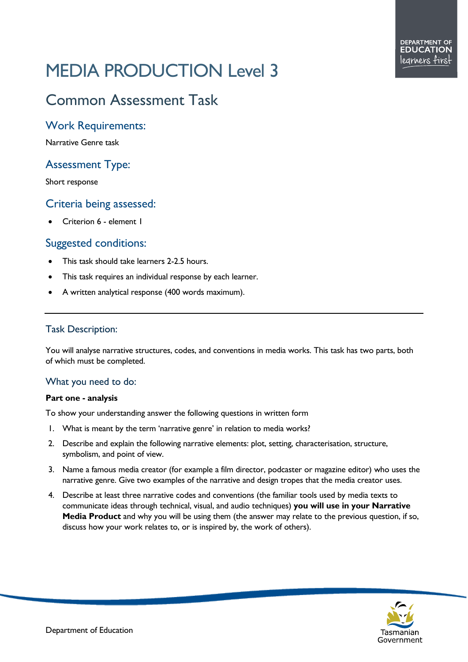# MEDIA PRODUCTION Level 3

# Common Assessment Task

## Work Requirements:

Narrative Genre task

# Assessment Type:

Short response

# Criteria being assessed:

• Criterion 6 - element 1

### Suggested conditions:

- This task should take learners 2-2.5 hours.
- This task requires an individual response by each learner.
- A written analytical response (400 words maximum).

#### Task Description:

You will analyse narrative structures, codes, and conventions in media works. This task has two parts, both of which must be completed.

#### What you need to do:

#### **Part one - analysis**

To show your understanding answer the following questions in written form

- 1. What is meant by the term 'narrative genre' in relation to media works?
- 2. Describe and explain the following narrative elements: plot, setting, characterisation, structure, symbolism, and point of view.
- 3. Name a famous media creator (for example a film director, podcaster or magazine editor) who uses the narrative genre. Give two examples of the narrative and design tropes that the media creator uses.
- 4. Describe at least three narrative codes and conventions (the familiar tools used by media texts to communicate ideas through technical, visual, and audio techniques) **you will use in your Narrative Media Product** and why you will be using them (the answer may relate to the previous question, if so, discuss how your work relates to, or is inspired by, the work of others).